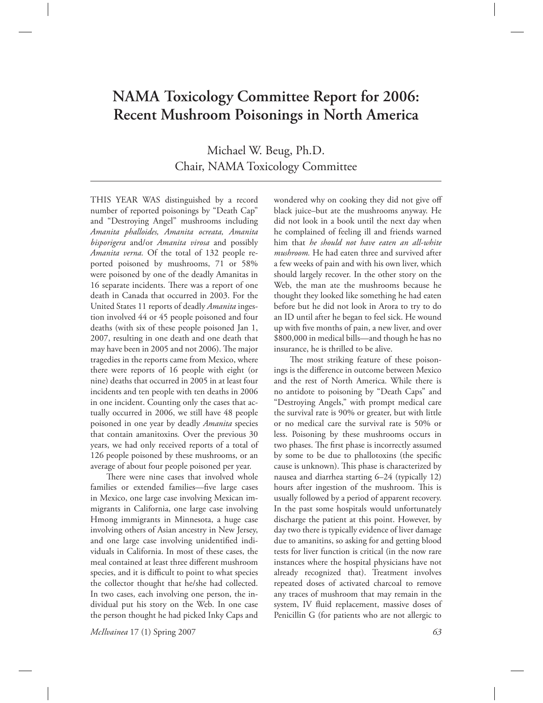# **NAMA Toxicology Committee Report for 2006: Recent Mushroom Poisonings in North America**

Michael W. Beug, Ph.D. Chair, NAMA Toxicology Committee

THIS YEAR WAS distinguished by a record number of reported poisonings by "Death Cap" and "Destroying Angel" mushrooms including *Amanita phalloides, Amanita ocreata, Amanita bisporigera* and/or *Amanita virosa* and possibly *Amanita verna.* Of the total of 132 people reported poisoned by mushrooms, 71 or 58% were poisoned by one of the deadly Amanitas in 16 separate incidents. There was a report of one death in Canada that occurred in 2003. For the United States 11 reports of deadly *Amanita* ingestion involved 44 or 45 people poisoned and four deaths (with six of these people poisoned Jan 1, 2007, resulting in one death and one death that may have been in 2005 and not 2006). The major tragedies in the reports came from Mexico, where there were reports of 16 people with eight (or nine) deaths that occurred in 2005 in at least four incidents and ten people with ten deaths in 2006 in one incident. Counting only the cases that actually occurred in 2006, we still have 48 people poisoned in one year by deadly *Amanita* species that contain amanitoxins*.* Over the previous 30 years, we had only received reports of a total of 126 people poisoned by these mushrooms, or an average of about four people poisoned per year.

There were nine cases that involved whole families or extended families—five large cases in Mexico, one large case involving Mexican immigrants in California, one large case involving Hmong immigrants in Minnesota, a huge case involving others of Asian ancestry in New Jersey, and one large case involving unidentified individuals in California. In most of these cases, the meal contained at least three different mushroom species, and it is difficult to point to what species the collector thought that he/she had collected. In two cases, each involving one person, the individual put his story on the Web. In one case the person thought he had picked Inky Caps and

wondered why on cooking they did not give off black juice–but ate the mushrooms anyway. He did not look in a book until the next day when he complained of feeling ill and friends warned him that *he should not have eaten an all-white mushroom.* He had eaten three and survived after a few weeks of pain and with his own liver, which should largely recover. In the other story on the Web, the man ate the mushrooms because he thought they looked like something he had eaten before but he did not look in Arora to try to do an ID until after he began to feel sick. He wound up with five months of pain, a new liver, and over \$800,000 in medical bills—and though he has no insurance, he is thrilled to be alive.

The most striking feature of these poisonings is the difference in outcome between Mexico and the rest of North America. While there is no antidote to poisoning by "Death Caps" and "Destroying Angels," with prompt medical care the survival rate is 90% or greater, but with little or no medical care the survival rate is 50% or less. Poisoning by these mushrooms occurs in two phases. The first phase is incorrectly assumed by some to be due to phallotoxins (the specific cause is unknown). This phase is characterized by nausea and diarrhea starting 6–24 (typically 12) hours after ingestion of the mushroom. This is usually followed by a period of apparent recovery. In the past some hospitals would unfortunately discharge the patient at this point. However, by day two there is typically evidence of liver damage due to amanitins, so asking for and getting blood tests for liver function is critical (in the now rare instances where the hospital physicians have not already recognized that). Treatment involves repeated doses of activated charcoal to remove any traces of mushroom that may remain in the system, IV fluid replacement, massive doses of Penicillin G (for patients who are not allergic to

*McIlvainea* 17 (1) Spring 2007 *63*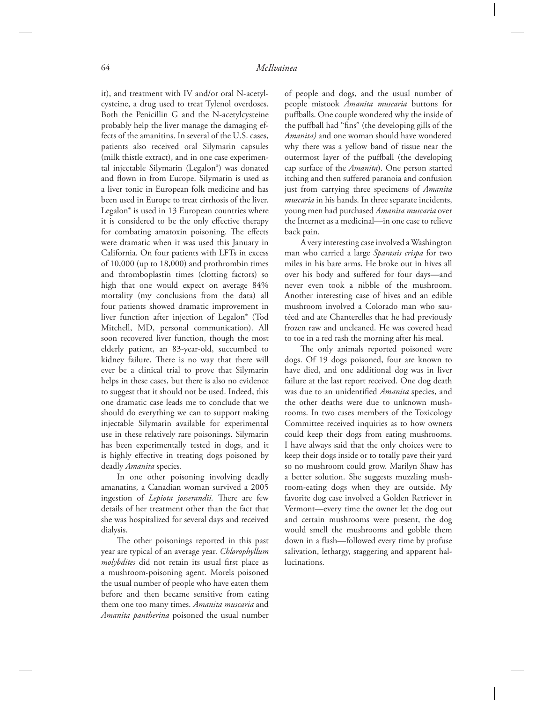it), and treatment with IV and/or oral N-acetylcysteine, a drug used to treat Tylenol overdoses. Both the Penicillin G and the N-acetylcysteine probably help the liver manage the damaging effects of the amanitins. In several of the U.S. cases, patients also received oral Silymarin capsules (milk thistle extract), and in one case experimental injectable Silymarin (Legalon®) was donated and flown in from Europe. Silymarin is used as a liver tonic in European folk medicine and has been used in Europe to treat cirrhosis of the liver. Legalon® is used in 13 European countries where it is considered to be the only effective therapy for combating amatoxin poisoning. The effects were dramatic when it was used this January in California. On four patients with LFTs in excess of 10,000 (up to 18,000) and prothrombin times and thromboplastin times (clotting factors) so high that one would expect on average 84% mortality (my conclusions from the data) all four patients showed dramatic improvement in liver function after injection of Legalon® (Tod Mitchell, MD, personal communication). All soon recovered liver function, though the most elderly patient, an 83-year-old, succumbed to kidney failure. There is no way that there will ever be a clinical trial to prove that Silymarin helps in these cases, but there is also no evidence to suggest that it should not be used. Indeed, this one dramatic case leads me to conclude that we should do everything we can to support making injectable Silymarin available for experimental use in these relatively rare poisonings. Silymarin has been experimentally tested in dogs, and it is highly effective in treating dogs poisoned by deadly *Amanita* species.

 In one other poisoning involving deadly amanatins, a Canadian woman survived a 2005 ingestion of *Lepiota josserandii*. There are few details of her treatment other than the fact that she was hospitalized for several days and received dialysis.

The other poisonings reported in this past year are typical of an average year. *Chlorophyllum molybdites* did not retain its usual first place as a mushroom-poisoning agent. Morels poisoned the usual number of people who have eaten them before and then became sensitive from eating them one too many times. *Amanita muscaria* and *Amanita pantherina* poisoned the usual number of people and dogs, and the usual number of people mistook *Amanita muscaria* buttons for puffballs. One couple wondered why the inside of the puffball had "fins" (the developing gills of the *Amanita)* and one woman should have wondered why there was a yellow band of tissue near the outermost layer of the puffball (the developing cap surface of the *Amanita*). One person started itching and then suffered paranoia and confusion just from carrying three specimens of *Amanita muscaria* in his hands. In three separate incidents, young men had purchased *Amanita muscaria* over the Internet as a medicinal—in one case to relieve back pain.

 A very interesting case involved a Washington man who carried a large *Sparassis crispa* for two miles in his bare arms. He broke out in hives all over his body and suffered for four days-and never even took a nibble of the mushroom. Another interesting case of hives and an edible mushroom involved a Colorado man who sautéed and ate Chanterelles that he had previously frozen raw and uncleaned. He was covered head to toe in a red rash the morning after his meal.

The only animals reported poisoned were dogs. Of 19 dogs poisoned, four are known to have died, and one additional dog was in liver failure at the last report received. One dog death was due to an unidentified *Amanita* species, and the other deaths were due to unknown mushrooms. In two cases members of the Toxicology Committee received inquiries as to how owners could keep their dogs from eating mushrooms. I have always said that the only choices were to keep their dogs inside or to totally pave their yard so no mushroom could grow. Marilyn Shaw has a better solution. She suggests muzzling mushroom-eating dogs when they are outside. My favorite dog case involved a Golden Retriever in Vermont—every time the owner let the dog out and certain mushrooms were present, the dog would smell the mushrooms and gobble them down in a flash—followed every time by profuse salivation, lethargy, staggering and apparent hallucinations.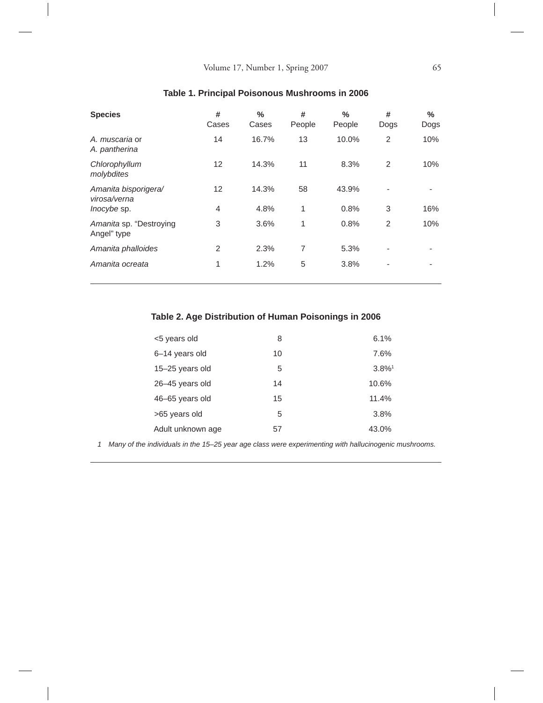| <b>Species</b>                         | #<br>Cases     | $\frac{0}{0}$<br>Cases | #<br>People | %<br>People | #<br>Dogs      | %<br>Dogs |
|----------------------------------------|----------------|------------------------|-------------|-------------|----------------|-----------|
| A. muscaria or<br>A. pantherina        | 14             | 16.7%                  | 13          | 10.0%       | $\overline{2}$ | 10%       |
| Chlorophyllum<br>molybdites            | 12             | 14.3%                  | 11          | 8.3%        | 2              | 10%       |
| Amanita bisporigera/<br>virosa/verna   | 12             | 14.3%                  | 58          | 43.9%       | ٠              |           |
| <i>Inocybe</i> sp.                     | $\overline{4}$ | 4.8%                   | 1           | 0.8%        | 3              | 16%       |
| Amanita sp. "Destroying<br>Angel" type | 3              | 3.6%                   | 1           | 0.8%        | 2              | 10%       |
| Amanita phalloides                     | $\overline{2}$ | 2.3%                   | 7           | 5.3%        | ۰              |           |
| Amanita ocreata                        | 1              | 1.2%                   | 5           | 3.8%        |                |           |

## **Table 1. Principal Poisonous Mushrooms in 2006**

## **Table 2. Age Distribution of Human Poisonings in 2006**

| <5 years old      | 8  | 6.1%                 |
|-------------------|----|----------------------|
| 6-14 years old    | 10 | 7.6%                 |
| 15-25 years old   | 5  | $3.8\%$ <sup>1</sup> |
| 26-45 years old   | 14 | 10.6%                |
| 46-65 years old   | 15 | 11.4%                |
| >65 years old     | 5  | 3.8%                 |
| Adult unknown age | 57 | 43.0%                |

 *1 Many of the individuals in the 15–25 year age class were experimenting with hallucinogenic mushrooms.*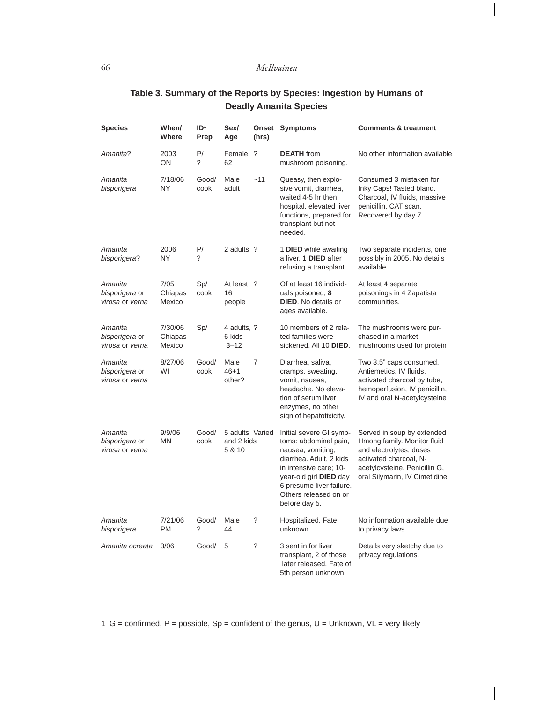#### 66 *McIlvainea*

# **Table 3. Summary of the Reports by Species: Ingestion by Humans of Deadly Amanita Species**

| <b>Species</b>                               | When/<br>Where               | ID <sup>1</sup><br>Prep | Sex/<br>Age                             | (hrs)          | <b>Onset Symptoms</b>                                                                                                                                                                                                      | <b>Comments &amp; treatment</b>                                                                                                                                                  |
|----------------------------------------------|------------------------------|-------------------------|-----------------------------------------|----------------|----------------------------------------------------------------------------------------------------------------------------------------------------------------------------------------------------------------------------|----------------------------------------------------------------------------------------------------------------------------------------------------------------------------------|
| Amanita?                                     | 2003<br>ON                   | P/<br>?                 | Female ?<br>62                          |                | <b>DEATH</b> from<br>mushroom poisoning.                                                                                                                                                                                   | No other information available                                                                                                                                                   |
| Amanita<br>bisporigera                       | 7/18/06<br>ΝY                | Good/<br>cook           | Male<br>adult                           | ~11            | Queasy, then explo-<br>sive vomit, diarrhea,<br>waited 4-5 hr then<br>hospital, elevated liver<br>functions, prepared for<br>transplant but not<br>needed.                                                                 | Consumed 3 mistaken for<br>Inky Caps! Tasted bland.<br>Charcoal, IV fluids, massive<br>penicillin, CAT scan.<br>Recovered by day 7.                                              |
| Amanita<br>bisporigera?                      | 2006<br>NY                   | P/<br>?                 | 2 adults ?                              |                | 1 DIED while awaiting<br>a liver. 1 DIED after<br>refusing a transplant.                                                                                                                                                   | Two separate incidents, one<br>possibly in 2005. No details<br>available.                                                                                                        |
| Amanita<br>bisporigera or<br>virosa or verna | 7/05<br>Chiapas<br>Mexico    | Sp/<br>cook             | At least ?<br>16<br>people              |                | Of at least 16 individ-<br>uals poisoned, 8<br><b>DIED.</b> No details or<br>ages available.                                                                                                                               | At least 4 separate<br>poisonings in 4 Zapatista<br>communities.                                                                                                                 |
| Amanita<br>bisporigera or<br>virosa or verna | 7/30/06<br>Chiapas<br>Mexico | Sp/                     | 4 adults, ?<br>6 kids<br>$3 - 12$       |                | 10 members of 2 rela-<br>ted families were<br>sickened. All 10 DIED.                                                                                                                                                       | The mushrooms were pur-<br>chased in a market-<br>mushrooms used for protein                                                                                                     |
| Amanita<br>bisporigera or<br>virosa or verna | 8/27/06<br>WI                | Good/<br>cook           | Male<br>$46 + 1$<br>other?              | $\overline{7}$ | Diarrhea, saliva,<br>cramps, sweating,<br>vomit, nausea,<br>headache. No eleva-<br>tion of serum liver<br>enzymes, no other<br>sign of hepatotixicity.                                                                     | Two 3.5" caps consumed.<br>Antiemetics, IV fluids,<br>activated charcoal by tube,<br>hemoperfusion, IV penicillin,<br>IV and oral N-acetylcysteine                               |
| Amanita<br>bisporigera or<br>virosa or verna | 9/9/06<br><b>MN</b>          | Good/<br>cook           | 5 adults Varied<br>and 2 kids<br>5 & 10 |                | Initial severe GI symp-<br>toms: abdominal pain,<br>nausea, vomiting,<br>diarrhea. Adult, 2 kids<br>in intensive care; 10-<br>year-old girl DIED day<br>6 presume liver failure.<br>Others released on or<br>before day 5. | Served in soup by extended<br>Hmong family. Monitor fluid<br>and electrolytes; doses<br>activated charcoal, N-<br>acetylcysteine, Penicillin G,<br>oral Silymarin, IV Cimetidine |
| Amanita<br>bisporigera                       | 7/21/06<br>PM                | Good/<br>?              | Male<br>44                              | $\tilde{?}$    | Hospitalized. Fate<br>unknown.                                                                                                                                                                                             | No information available due<br>to privacy laws.                                                                                                                                 |
| Amanita ocreata                              | 3/06                         | Good/                   | 5                                       | ?              | 3 sent in for liver<br>transplant, 2 of those<br>later released. Fate of<br>5th person unknown.                                                                                                                            | Details very sketchy due to<br>privacy regulations.                                                                                                                              |

1 G = confirmed,  $P =$  possible,  $Sp =$  confident of the genus,  $U =$  Unknown,  $VL =$  very likely

 $\begin{array}{c} \hline \end{array}$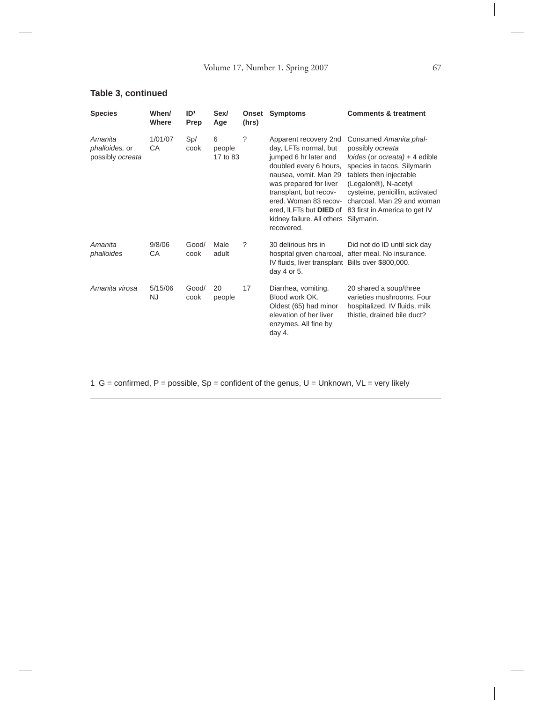## **Table 3, continued**

| <b>Species</b>                                | When/<br>Where       | ID <sup>1</sup><br>Prep | Sex/<br>Age             | Onset<br>(hrs) | <b>Symptoms</b>                                                                                                                                                                                                                                                                       | <b>Comments &amp; treatment</b>                                                                                                                                                                                                                                                                        |
|-----------------------------------------------|----------------------|-------------------------|-------------------------|----------------|---------------------------------------------------------------------------------------------------------------------------------------------------------------------------------------------------------------------------------------------------------------------------------------|--------------------------------------------------------------------------------------------------------------------------------------------------------------------------------------------------------------------------------------------------------------------------------------------------------|
| Amanita<br>phalloides, or<br>possibly ocreata | 1/01/07<br>CA        | Sp/<br>cook             | 6<br>people<br>17 to 83 | ?              | Apparent recovery 2nd<br>day, LFTs normal, but<br>jumped 6 hr later and<br>doubled every 6 hours,<br>nausea, vomit. Man 29<br>was prepared for liver<br>transplant, but recov-<br>ered. Woman 83 recov-<br>ered, ILFTs but <b>DIED</b> of<br>kidney failure. All others<br>recovered. | Consumed Amanita phal-<br>possibly ocreata<br>$loides$ (or <i>ocreata</i> ) $+4$ edible<br>species in tacos. Silymarin<br>tablets then injectable<br>(Legalon <sup>®</sup> ), N-acetyl<br>cysteine, penicillin, activated<br>charcoal. Man 29 and woman<br>83 first in America to get IV<br>Silymarin. |
| Amanita<br>phalloides                         | 9/8/06<br>CA         | Good/<br>cook           | Male<br>adult           | ?              | 30 delirious hrs in<br>IV fluids, liver transplant Bills over \$800,000.<br>day 4 or 5.                                                                                                                                                                                               | Did not do ID until sick day<br>hospital given charcoal, after meal. No insurance.                                                                                                                                                                                                                     |
| Amanita virosa                                | 5/15/06<br><b>NJ</b> | Good/<br>cook           | 20<br>people            | 17             | Diarrhea, vomiting.<br>Blood work OK.<br>Oldest (65) had minor<br>elevation of her liver<br>enzymes. All fine by<br>day 4.                                                                                                                                                            | 20 shared a soup/three<br>varieties mushrooms. Four<br>hospitalized. IV fluids, milk<br>thistle, drained bile duct?                                                                                                                                                                                    |

1 G = confirmed, P = possible,  $Sp$  = confident of the genus, U = Unknown, VL = very likely

 $\overline{\phantom{a}}$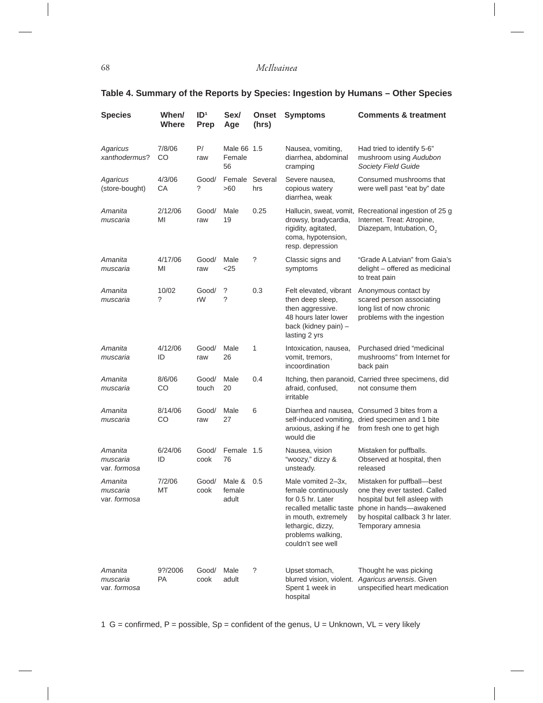#### 68 *McIlvainea*

 $\overline{\phantom{a}}$ 

## **Table 4. Summary of the Reports by Species: Ingestion by Humans – Other Species**

| <b>Species</b>                      | When/<br>Where | ID <sup>1</sup><br><b>Prep</b> | Sex/<br>Age                 | <b>Onset</b><br>(hrs) | <b>Symptoms</b>                                                                                                                                                                 | <b>Comments &amp; treatment</b>                                                                                                                                                 |
|-------------------------------------|----------------|--------------------------------|-----------------------------|-----------------------|---------------------------------------------------------------------------------------------------------------------------------------------------------------------------------|---------------------------------------------------------------------------------------------------------------------------------------------------------------------------------|
| Agaricus<br>xanthodermus?           | 7/8/06<br>CO   | P/<br>raw                      | Male 66 1.5<br>Female<br>56 |                       | Nausea, vomiting,<br>diarrhea, abdominal<br>cramping                                                                                                                            | Had tried to identify 5-6"<br>mushroom using Audubon<br><b>Society Field Guide</b>                                                                                              |
| Agaricus<br>(store-bought)          | 4/3/06<br>СA   | Good/<br>?                     | Female<br>>60               | Several<br>hrs        | Severe nausea,<br>copious watery<br>diarrhea, weak                                                                                                                              | Consumed mushrooms that<br>were well past "eat by" date                                                                                                                         |
| Amanita<br>muscaria                 | 2/12/06<br>ΜI  | Good/<br>raw                   | Male<br>19                  | 0.25                  | drowsy, bradycardia,<br>rigidity, agitated,<br>coma, hypotension,<br>resp. depression                                                                                           | Hallucin, sweat, vomit, Recreational ingestion of 25 g<br>Internet. Treat: Atropine,<br>Diazepam, Intubation, O <sub>2</sub>                                                    |
| Amanita<br>muscaria                 | 4/17/06<br>MI  | Good/<br>raw                   | Male<br>$<$ 25              | ?                     | Classic signs and<br>symptoms                                                                                                                                                   | "Grade A Latvian" from Gaia's<br>delight - offered as medicinal<br>to treat pain                                                                                                |
| Amanita<br>muscaria                 | 10/02<br>?     | Good/<br>rW                    | ?<br>?                      | 0.3                   | Felt elevated, vibrant<br>then deep sleep,<br>then aggressive.<br>48 hours later lower<br>back (kidney pain) -<br>lasting 2 yrs                                                 | Anonymous contact by<br>scared person associating<br>long list of now chronic<br>problems with the ingestion                                                                    |
| Amanita<br>muscaria                 | 4/12/06<br>ID  | Good/<br>raw                   | Male<br>26                  | 1                     | Intoxication, nausea,<br>vomit, tremors,<br>incoordination                                                                                                                      | Purchased dried "medicinal<br>mushrooms" from Internet for<br>back pain                                                                                                         |
| Amanita<br>muscaria                 | 8/6/06<br>CO   | Good/<br>touch                 | Male<br>20                  | 0.4                   | afraid, confused,<br>irritable                                                                                                                                                  | Itching, then paranoid, Carried three specimens, did<br>not consume them                                                                                                        |
| Amanita<br>muscaria                 | 8/14/06<br>CO  | Good/<br>raw                   | Male<br>27                  | 6                     | anxious, asking if he<br>would die                                                                                                                                              | Diarrhea and nausea, Consumed 3 bites from a<br>self-induced vomiting, dried specimen and 1 bite<br>from fresh one to get high                                                  |
| Amanita<br>muscaria<br>var. formosa | 6/24/06<br>ID  | Good/<br>cook                  | Female<br>76                | 1.5                   | Nausea, vision<br>"woozy," dizzy &<br>unsteady.                                                                                                                                 | Mistaken for puffballs.<br>Observed at hospital, then<br>released                                                                                                               |
| Amanita<br>muscaria<br>var. formosa | 7/2/06<br>МT   | Good/<br>cook                  | Male &<br>female<br>adult   | 0.5                   | Male vomited 2-3x.<br>female continuously<br>for 0.5 hr. Later<br>recalled metallic taste<br>in mouth, extremely<br>lethargic, dizzy,<br>problems walking,<br>couldn't see well | Mistaken for puffball-best<br>one they ever tasted. Called<br>hospital but fell asleep with<br>phone in hands-awakened<br>by hospital callback 3 hr later.<br>Temporary amnesia |
| Amanita<br>muscaria<br>var. formosa | 9?/2006<br>PA  | Good/<br>cook                  | Male<br>adult               | $\ddot{?}$            | Upset stomach,<br>blurred vision, violent.<br>Spent 1 week in<br>hospital                                                                                                       | Thought he was picking<br>Agaricus arvensis. Given<br>unspecified heart medication                                                                                              |

1 G = confirmed,  $P =$  possible,  $Sp =$  confident of the genus,  $U =$  Unknown,  $VL =$  very likely

 $\overline{\phantom{a}}$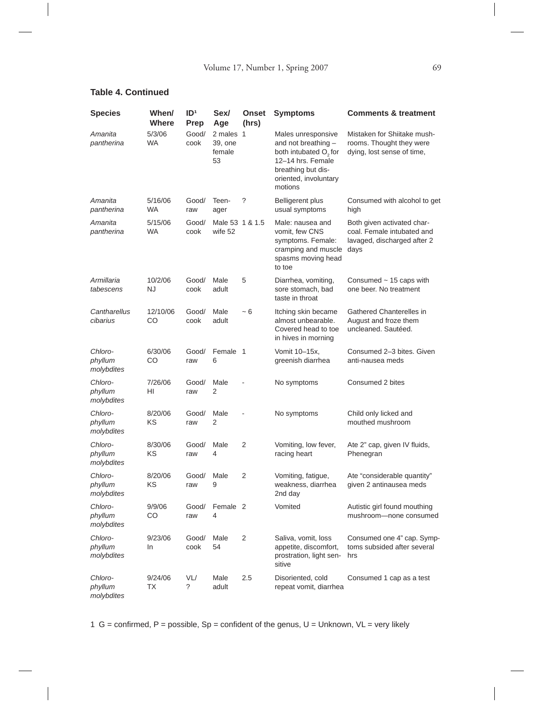#### **Table 4. Continued**

 $\begin{array}{c} \hline \end{array}$ 

| <b>Species</b>                   | When/<br><b>Where</b> | ID <sup>1</sup><br>Prep | Sex/<br>Aae                          | <b>Onset</b><br>(hrs) | <b>Symptoms</b>                                                                                                                                               | <b>Comments &amp; treatment</b>                                                                 |
|----------------------------------|-----------------------|-------------------------|--------------------------------------|-----------------------|---------------------------------------------------------------------------------------------------------------------------------------------------------------|-------------------------------------------------------------------------------------------------|
| Amanita<br>pantherina            | 5/3/06<br><b>WA</b>   | Good/<br>cook           | 2 males 1<br>39, one<br>female<br>53 |                       | Males unresponsive<br>and not breathing -<br>both intubated O <sub>2</sub> for<br>12-14 hrs. Female<br>breathing but dis-<br>oriented, involuntary<br>motions | Mistaken for Shiitake mush-<br>rooms. Thought they were<br>dying, lost sense of time,           |
| Amanita<br>pantherina            | 5/16/06<br><b>WA</b>  | Good/<br>raw            | Teen-<br>ager                        | ?                     | <b>Belligerent plus</b><br>usual symptoms                                                                                                                     | Consumed with alcohol to get<br>high                                                            |
| Amanita<br>pantherina            | 5/15/06<br>WA.        | Good/<br>cook           | Male 53 1 & 1.5<br>wife 52           |                       | Male: nausea and<br>vomit, few CNS<br>symptoms. Female:<br>cramping and muscle<br>spasms moving head<br>to toe                                                | Both given activated char-<br>coal. Female intubated and<br>lavaged, discharged after 2<br>days |
| Armillaria<br>tabescens          | 10/2/06<br>NJ         | Good/<br>cook           | Male<br>adult                        | 5                     | Diarrhea, vomiting,<br>sore stomach, bad<br>taste in throat                                                                                                   | Consumed $\sim$ 15 caps with<br>one beer. No treatment                                          |
| Cantharellus<br>cibarius         | 12/10/06<br>CO        | Good/<br>cook           | Male<br>adult                        | ~5                    | Itching skin became<br>almost unbearable.<br>Covered head to toe<br>in hives in morning                                                                       | Gathered Chanterelles in<br>August and froze them<br>uncleaned. Sautéed.                        |
| Chloro-<br>phyllum<br>molybdites | 6/30/06<br>CO         | Good/<br>raw            | Female 1<br>6                        |                       | Vomit 10-15x,<br>greenish diarrhea                                                                                                                            | Consumed 2-3 bites. Given<br>anti-nausea meds                                                   |
| Chloro-<br>phyllum<br>molybdites | 7/26/06<br>HI         | Good/<br>raw            | Male<br>2                            |                       | No symptoms                                                                                                                                                   | Consumed 2 bites                                                                                |
| Chloro-<br>phyllum<br>molybdites | 8/20/06<br>ΚS         | Good/<br>raw            | Male<br>2                            |                       | No symptoms                                                                                                                                                   | Child only licked and<br>mouthed mushroom                                                       |
| Chloro-<br>phyllum<br>molybdites | 8/30/06<br>ΚS         | Good/<br>raw            | Male<br>4                            | 2                     | Vomiting, low fever,<br>racing heart                                                                                                                          | Ate 2" cap, given IV fluids,<br>Phenegran                                                       |
| Chloro-<br>phyllum<br>molybdites | 8/20/06<br>ΚS         | Good/<br>raw            | Male<br>9                            | 2                     | Vomiting, fatigue,<br>weakness, diarrhea<br>2nd day                                                                                                           | Ate "considerable quantity"<br>given 2 antinausea meds                                          |
| Chloro-<br>phyllum<br>molybdites | 9/9/06<br>CO          | Good/<br>raw            | Female 2<br>4                        |                       | Vomited                                                                                                                                                       | Autistic girl found mouthing<br>mushroom-none consumed                                          |
| Chloro-<br>phyllum<br>molybdites | 9/23/06<br>In         | Good/<br>cook           | Male<br>54                           | 2                     | Saliva, vomit, loss<br>appetite, discomfort,<br>prostration, light sen-<br>sitive                                                                             | Consumed one 4" cap. Symp-<br>toms subsided after several<br>hrs                                |
| Chloro-<br>phyllum<br>molybdites | 9/24/06<br>ТX         | VL/<br>?                | Male<br>adult                        | 2.5                   | Disoriented, cold<br>repeat vomit, diarrhea                                                                                                                   | Consumed 1 cap as a test                                                                        |

1 G = confirmed, P = possible,  $Sp$  = confident of the genus, U = Unknown, VL = very likely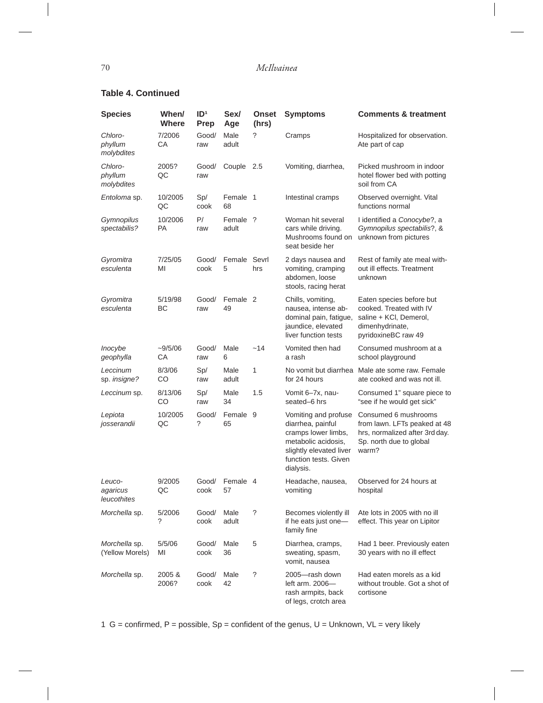$\overline{\phantom{a}}$ 

#### **Table 4. Continued**

| <b>Species</b>                    | When/<br>Where       | ID <sup>1</sup><br>Prep | Sex/<br>Age       | <b>Onset</b><br>(hrs) | <b>Symptoms</b>                                                                                                                                          | <b>Comments &amp; treatment</b>                                                                                            |
|-----------------------------------|----------------------|-------------------------|-------------------|-----------------------|----------------------------------------------------------------------------------------------------------------------------------------------------------|----------------------------------------------------------------------------------------------------------------------------|
| Chloro-<br>phyllum<br>molybdites  | 7/2006<br>CA         | Good/<br>raw            | Male<br>adult     | ?                     | Cramps                                                                                                                                                   | Hospitalized for observation.<br>Ate part of cap                                                                           |
| Chloro-<br>phyllum<br>molybdites  | 2005?<br>QC          | Good/<br>raw            | Couple            | 2.5                   | Vomiting, diarrhea,                                                                                                                                      | Picked mushroom in indoor<br>hotel flower bed with potting<br>soil from CA                                                 |
| <i>Entoloma</i> sp.               | 10/2005<br>QC        | Sp/<br>cook             | Female 1<br>68    |                       | Intestinal cramps                                                                                                                                        | Observed overnight. Vital<br>functions normal                                                                              |
| Gymnopilus<br>spectabilis?        | 10/2006<br><b>PA</b> | P/<br>raw               | Female ?<br>adult |                       | Woman hit several<br>cars while driving.<br>Mushrooms found on<br>seat beside her                                                                        | I identified a Conocybe?, a<br>Gymnopilus spectabilis?, &<br>unknown from pictures                                         |
| Gyromitra<br>esculenta            | 7/25/05<br>MI        | Good/<br>cook           | Female<br>5       | Sevrl<br>hrs          | 2 days nausea and<br>vomiting, cramping<br>abdomen, loose<br>stools, racing herat                                                                        | Rest of family ate meal with-<br>out ill effects. Treatment<br>unknown                                                     |
| Gyromitra<br>esculenta            | 5/19/98<br>ВC        | Good/<br>raw            | Female 2<br>49    |                       | Chills, vomiting,<br>nausea, intense ab-<br>dominal pain, fatigue,<br>jaundice, elevated<br>liver function tests                                         | Eaten species before but<br>cooked. Treated with IV<br>saline + KCI, Demerol,<br>dimenhydrinate,<br>pyridoxineBC raw 49    |
| Inocybe<br>geophylla              | $-9/5/06$<br>CA      | Good/<br>raw            | Male<br>6         | $-14$                 | Vomited then had<br>a rash                                                                                                                               | Consumed mushroom at a<br>school playground                                                                                |
| Leccinum<br>sp. insigne?          | 8/3/06<br>CO         | Sp/<br>raw              | Male<br>adult     | 1                     | No vomit but diarrhea<br>for 24 hours                                                                                                                    | Male ate some raw. Female<br>ate cooked and was not ill.                                                                   |
| Leccinum sp.                      | 8/13/06<br>CO        | Sp/<br>raw              | Male<br>34        | 1.5                   | Vomit 6-7x, nau-<br>seated-6 hrs                                                                                                                         | Consumed 1" square piece to<br>"see if he would get sick"                                                                  |
| Lepiota<br>josserandii            | 10/2005<br>QC        | Good/<br>?              | Female 9<br>65    |                       | Vomiting and profuse<br>diarrhea, painful<br>cramps lower limbs,<br>metabolic acidosis,<br>slightly elevated liver<br>function tests. Given<br>dialysis. | Consumed 6 mushrooms<br>from lawn. LFTs peaked at 48<br>hrs, normalized after 3rd day.<br>Sp. north due to global<br>warm? |
| Leuco-<br>agaricus<br>leucothites | 9/2005<br>QC         | Good/<br>cook           | Female 4<br>57    |                       | Headache, nausea,<br>vomiting                                                                                                                            | Observed for 24 hours at<br>hospital                                                                                       |
| Morchella sp.                     | 5/2006<br>?          | Good/<br>cook           | Male<br>adult     | ?                     | Becomes violently ill<br>if he eats just one-<br>family fine                                                                                             | Ate lots in 2005 with no ill<br>effect. This year on Lipitor                                                               |
| Morchella sp.<br>(Yellow Morels)  | 5/5/06<br>MI         | Good/<br>cook           | Male<br>36        | 5                     | Diarrhea, cramps,<br>sweating, spasm,<br>vomit, nausea                                                                                                   | Had 1 beer. Previously eaten<br>30 years with no ill effect                                                                |
| Morchella sp.                     | 2005&<br>2006?       | Good/<br>cook           | Male<br>42        | $\tilde{?}$           | 2005-rash down<br>left arm. 2006-<br>rash armpits, back<br>of legs, crotch area                                                                          | Had eaten morels as a kid<br>without trouble. Got a shot of<br>cortisone                                                   |

1 G = confirmed,  $P =$  possible,  $Sp =$  confident of the genus,  $U =$  Unknown,  $VL =$  very likely

 $\overline{\phantom{a}}$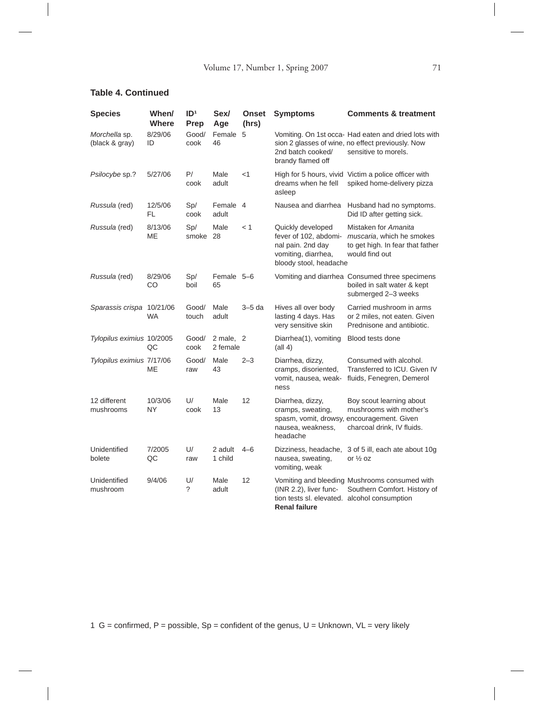#### **Table 4. Continued**

 $\begin{array}{c} \hline \end{array}$ 

| <b>Species</b>                  | When/<br>Where | ID <sup>1</sup><br>Prep | Sex/<br>Age           | <b>Onset</b><br>(hrs) | <b>Symptoms</b>                                                                                                  | <b>Comments &amp; treatment</b>                                                                                                   |
|---------------------------------|----------------|-------------------------|-----------------------|-----------------------|------------------------------------------------------------------------------------------------------------------|-----------------------------------------------------------------------------------------------------------------------------------|
| Morchella sp.<br>(black & gray) | 8/29/06<br>ID  | Good/<br>cook           | Female<br>46          | 5                     | 2nd batch cooked/<br>brandy flamed off                                                                           | Vomiting. On 1st occa- Had eaten and dried lots with<br>sion 2 glasses of wine, no effect previously. Now<br>sensitive to morels. |
| Psilocybe sp.?                  | 5/27/06        | P/<br>cook              | Male<br>adult         | $<$ 1                 | dreams when he fell<br>asleep                                                                                    | High for 5 hours, vivid Victim a police officer with<br>spiked home-delivery pizza                                                |
| Russula (red)                   | 12/5/06<br>FL  | Sp/<br>cook             | Female 4<br>adult     |                       | Nausea and diarrhea                                                                                              | Husband had no symptoms.<br>Did ID after getting sick.                                                                            |
| Russula (red)                   | 8/13/06<br>ME  | Sp/<br>smoke            | Male<br>28            | < 1                   | Quickly developed<br>fever of 102, abdomi-<br>nal pain. 2nd day<br>vomiting, diarrhea,<br>bloody stool, headache | Mistaken for Amanita<br>muscaria, which he smokes<br>to get high. In fear that father<br>would find out                           |
| Russula (red)                   | 8/29/06<br>CO  | Sp/<br>boil             | Female 5-6<br>65      |                       |                                                                                                                  | Vomiting and diarrhea Consumed three specimens<br>boiled in salt water & kept<br>submerged 2-3 weeks                              |
| Sparassis crispa 10/21/06       | <b>WA</b>      | Good/<br>touch          | Male<br>adult         | $3-5$ da              | Hives all over body<br>lasting 4 days. Has<br>very sensitive skin                                                | Carried mushroom in arms<br>or 2 miles, not eaten. Given<br>Prednisone and antibiotic.                                            |
| Tylopilus eximius 10/2005       | QC             | Good/<br>cook           | 2 male, 2<br>2 female |                       | Diarrhea(1), vomiting<br>$\left(\text{all } 4\right)$                                                            | Blood tests done                                                                                                                  |
| Tylopilus eximius 7/17/06       | ME             | Good/<br>raw            | Male<br>43            | $2 - 3$               | Diarrhea, dizzy,<br>cramps, disoriented,<br>vomit, nausea, weak-<br>ness                                         | Consumed with alcohol.<br>Transferred to ICU. Given IV<br>fluids, Fenegren, Demerol                                               |
| 12 different<br>mushrooms       | 10/3/06<br>NY. | U/<br>cook              | Male<br>13            | 12                    | Diarrhea, dizzy,<br>cramps, sweating,<br>spasm, vomit, drowsy,<br>nausea, weakness,<br>headache                  | Boy scout learning about<br>mushrooms with mother's<br>encouragement. Given<br>charcoal drink, IV fluids.                         |
| Unidentified<br>bolete          | 7/2005<br>QC   | U/<br>raw               | 2 adult<br>1 child    | $4 - 6$               | Dizziness, headache,<br>nausea, sweating,<br>vomiting, weak                                                      | 3 of 5 ill, each ate about 10g<br>or $\frac{1}{2}$ oz                                                                             |
| Unidentified<br>mushroom        | 9/4/06         | U/<br>?                 | Male<br>adult         | 12                    | (INR 2.2), liver func-<br>tion tests sl. elevated. alcohol consumption<br><b>Renal failure</b>                   | Vomiting and bleeding Mushrooms consumed with<br>Southern Comfort. History of                                                     |

1 G = confirmed, P = possible, Sp = confident of the genus, U = Unknown, VL = very likely